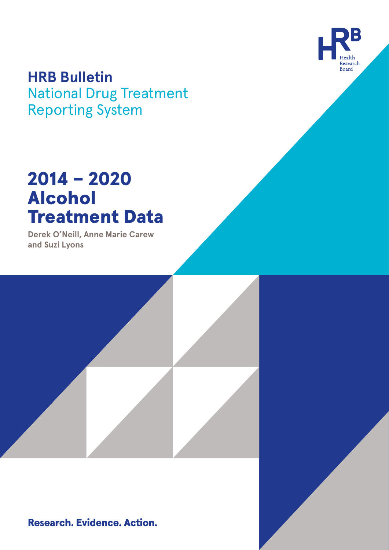

# **HRB Bulletin**

National Drug Treatment Reporting System

# 2014 – 2020 Alcohol Treatment Data

**Derek O'Neill, Anne Marie Carew and Suzi Lyons**

Research. Evidence. Action.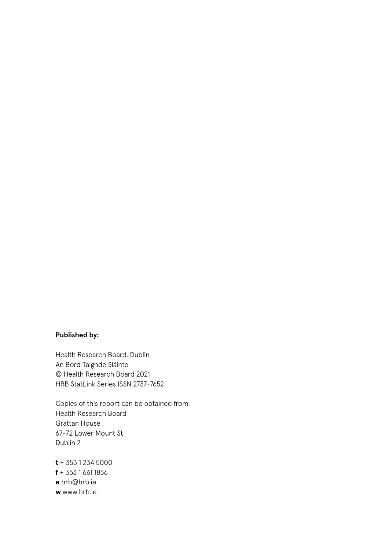#### **Published by:**

Health Research Board, Dublin An Bord Taighde Sláinte © Health Research Board 2021 HRB StatLink Series ISSN 2737-7652

Copies of this report can be obtained from: Health Research Board Grattan House 67-72 Lower Mount St Dublin 2

**t** + 353 1 234 5000 **f** + 353 1 661 1856 **e** hrb@hrb.ie **w** www.hrb.ie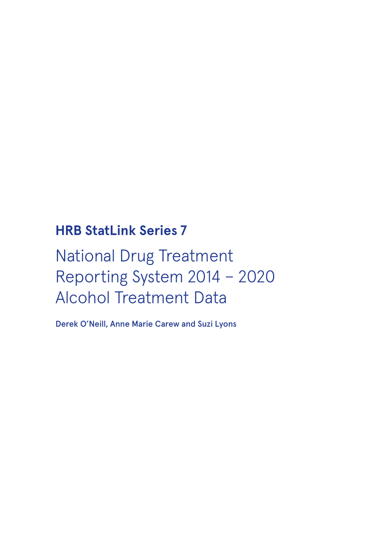# **HRB StatLink Series 7**

# National Drug Treatment Reporting System 2014 – 2020 Alcohol Treatment Data

Derek O'Neill, Anne Marie Carew and Suzi Lyons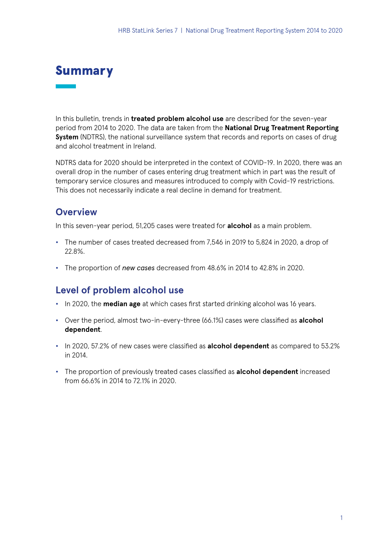## Summary

In this bulletin, trends in **treated problem alcohol use** are described for the seven-year period from 2014 to 2020. The data are taken from the **National Drug Treatment Reporting System** (NDTRS), the national surveillance system that records and reports on cases of drug and alcohol treatment in Ireland.

NDTRS data for 2020 should be interpreted in the context of COVID-19. In 2020, there was an overall drop in the number of cases entering drug treatment which in part was the result of temporary service closures and measures introduced to comply with Covid-19 restrictions. This does not necessarily indicate a real decline in demand for treatment.

### **Overview**

In this seven-year period, 51,205 cases were treated for **alcohol** as a main problem.

- **•** The number of cases treated decreased from 7,546 in 2019 to 5,824 in 2020, a drop of 22.8%.
- **•** The proportion of *new cases* decreased from 48.6% in 2014 to 42.8% in 2020.

### **Level of problem alcohol use**

- **•** In 2020, the **median age** at which cases first started drinking alcohol was 16 years.
- **•** Over the period, almost two-in-every-three (66.1%) cases were classified as **alcohol dependent**.
- **•** In 2020, 57.2% of new cases were classified as **alcohol dependent** as compared to 53.2% in 2014.
- **•** The proportion of previously treated cases classified as **alcohol dependent** increased from 66.6% in 2014 to 72.1% in 2020.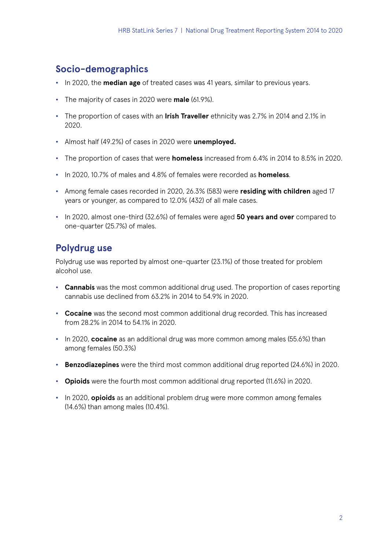### **Socio-demographics**

- **•** In 2020, the **median age** of treated cases was 41 years, similar to previous years.
- **•** The majority of cases in 2020 were **male** (61.9%).
- **•** The proportion of cases with an **Irish Traveller** ethnicity was 2.7% in 2014 and 2.1% in 2020.
- **•** Almost half (49.2%) of cases in 2020 were **unemployed.**
- **•** The proportion of cases that were **homeless** increased from 6.4% in 2014 to 8.5% in 2020.
- **•** In 2020, 10.7% of males and 4.8% of females were recorded as **homeless**.
- **•** Among female cases recorded in 2020, 26.3% (583) were **residing with children** aged 17 years or younger, as compared to 12.0% (432) of all male cases.
- **•** In 2020, almost one-third (32.6%) of females were aged **50 years and over** compared to one-quarter (25.7%) of males.

### **Polydrug use**

Polydrug use was reported by almost one-quarter (23.1%) of those treated for problem alcohol use.

- **• Cannabis** was the most common additional drug used. The proportion of cases reporting cannabis use declined from 63.2% in 2014 to 54.9% in 2020.
- **• Cocaine** was the second most common additional drug recorded. This has increased from 28.2% in 2014 to 54.1% in 2020.
- **•** In 2020, **cocaine** as an additional drug was more common among males (55.6%) than among females (50.3%)
- **• Benzodiazepines** were the third most common additional drug reported (24.6%) in 2020.
- **• Opioids** were the fourth most common additional drug reported (11.6%) in 2020.
- **•** In 2020, **opioids** as an additional problem drug were more common among females (14.6%) than among males (10.4%).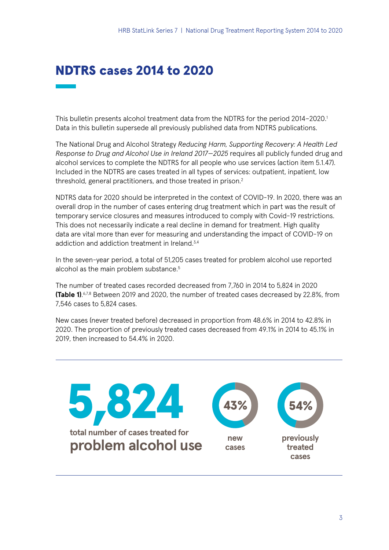## NDTRS cases 2014 to 2020

This bulletin presents alcohol treatment data from the NDTRS for the period 2014–2020.1 Data in this bulletin supersede all previously published data from NDTRS publications.

The National Drug and Alcohol Strategy *Reducing Harm, Supporting Recovery: A Health Led Response to Drug and Alcohol Use in Ireland 2017—2025* requires all publicly funded drug and alcohol services to complete the NDTRS for all people who use services (action item 5.1.47). Included in the NDTRS are cases treated in all types of services: outpatient, inpatient, low threshold, general practitioners, and those treated in prison.<sup>2</sup>

NDTRS data for 2020 should be interpreted in the context of COVID-19. In 2020, there was an overall drop in the number of cases entering drug treatment which in part was the result of temporary service closures and measures introduced to comply with Covid-19 restrictions. This does not necessarily indicate a real decline in demand for treatment. High quality data are vital more than ever for measuring and understanding the impact of COVID-19 on addiction and addiction treatment in Ireland.<sup>3,4</sup>

In the seven-year period, a total of 51,205 cases treated for problem alcohol use reported alcohol as the main problem substance.<sup>5</sup>

The number of treated cases recorded decreased from 7,760 in 2014 to 5,824 in 2020 **(Table 1).**<sup>6,7,8</sup> Between 2019 and 2020, the number of treated cases decreased by 22.8%, from 7,546 cases to 5,824 cases.

New cases (never treated before) decreased in proportion from 48.6% in 2014 to 42.8% in 2020. The proportion of previously treated cases decreased from 49.1% in 2014 to 45.1% in 2019, then increased to 54.4% in 2020.

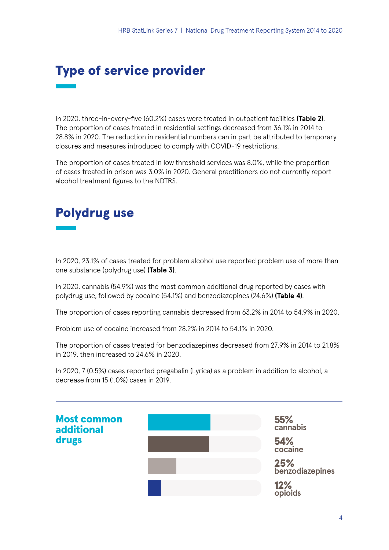# Type of service provider

In 2020, three-in-every-five (60.2%) cases were treated in outpatient facilities **(Table 2)**. The proportion of cases treated in residential settings decreased from 36.1% in 2014 to 28.8% in 2020. The reduction in residential numbers can in part be attributed to temporary closures and measures introduced to comply with COVID-19 restrictions.

The proportion of cases treated in low threshold services was 8.0%, while the proportion of cases treated in prison was 3.0% in 2020. General practitioners do not currently report alcohol treatment figures to the NDTRS.

# Polydrug use

In 2020, 23.1% of cases treated for problem alcohol use reported problem use of more than one substance (polydrug use) **(Table 3)**.

In 2020, cannabis (54.9%) was the most common additional drug reported by cases with polydrug use, followed by cocaine (54.1%) and benzodiazepines (24.6%) **(Table 4)**.

The proportion of cases reporting cannabis decreased from 63.2% in 2014 to 54.9% in 2020.

Problem use of cocaine increased from 28.2% in 2014 to 54.1% in 2020.

The proportion of cases treated for benzodiazepines decreased from 27.9% in 2014 to 21.8% in 2019, then increased to 24.6% in 2020.

In 2020, 7 (0.5%) cases reported pregabalin (Lyrica) as a problem in addition to alcohol, a decrease from 15 (1.0%) cases in 2019.

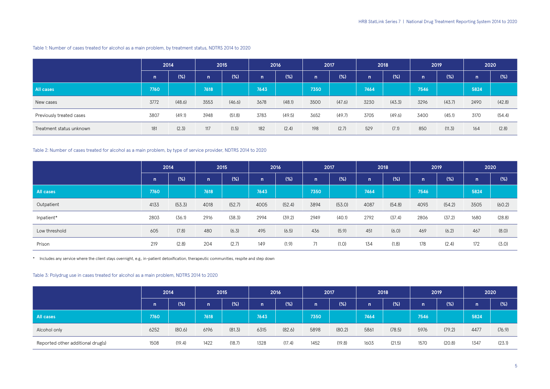|                          | 2014 |        | 2015 |        | 2016         |        | 2017         |        | 2018 |        | 2019 |        | 2020         |        |
|--------------------------|------|--------|------|--------|--------------|--------|--------------|--------|------|--------|------|--------|--------------|--------|
|                          | n    | (%)    | n    | $(\%)$ | $\mathsf{n}$ | (%)    | $\mathsf{n}$ | (%)    | n.   | (%)    | n    | (%)    | $\mathsf{n}$ | (%)    |
| <b>All cases</b>         | 7760 |        | 7618 |        | 7643         |        | 7350         |        | 7464 |        | 7546 |        | 5824         |        |
| New cases                | 3772 | (48.6) | 3553 | (46.6) | 3678         | (48.1) | 3500         | (47.6) | 3230 | (43.3) | 3296 | (43.7) | 2490         | (42.8) |
| Previously treated cases | 3807 | (49.1) | 3948 | (51.8) | 3783         | (49.5) | 3652         | (49.7) | 3705 | (49.6) | 3400 | (45.1) | 3170         | (54.4) |
| Treatment status unknown | 181  | (2.3)  | 117  | (1.5)  | 182          | (2.4)  | 198          | (2.7)  | 529  | (7.1)  | 850  | (11.3) | 164          | (2.8)  |

Table 1: Number of cases treated for alcohol as a main problem, by treatment status, NDTRS 2014 to 2020

Table 2: Number of cases treated for alcohol as a main problem, by type of service provider, NDTRS 2014 to 2020

|                  | 2014         |        | 2015 |        | 2016 |        | 2017         |        | 2018 |        | 2019 |        | 2020 |        |
|------------------|--------------|--------|------|--------|------|--------|--------------|--------|------|--------|------|--------|------|--------|
|                  | $\mathsf{n}$ | (%)    | n    | (%)    | n    | (%)    | $\mathsf{n}$ | (%)    | n    | (%)    | n    | (%)    | n    | (% )   |
| <b>All cases</b> | 7760         |        | 7618 |        | 7643 |        | 7350         |        | 7464 |        | 7546 |        | 5824 |        |
| Outpatient       | 4133         | (53.3) | 4018 | (52.7) | 4005 | (52.4) | 3894         | (53.0) | 4087 | (54.8) | 4093 | (54.2) | 3505 | (60.2) |
| Inpatient*       | 2803         | (36.1) | 2916 | (38.3) | 2994 | (39.2) | 2949         | (40.1) | 2792 | (37.4) | 2806 | (37.2) | 1680 | (28.8) |
| Low threshold    | 605          | (7.8)  | 480  | (6.3)  | 495  | (6.5)  | 436          | (5.9)  | 451  | (6.0)  | 469  | (6.2)  | 467  | (8.0)  |
| Prison           | 219          | (2.8)  | 204  | (2.7)  | 149  | (1.9)  | 71           | (1.0)  | 134  | (1.8)  | 178  | (2.4)  | 172  | (3.0)  |

\* Includes any service where the client stays overnight, e.g., in-patient detoxification, therapeutic communities, respite and step down

Table 3: Polydrug use in cases treated for alcohol as a main problem, NDTRS 2014 to 2020

|                                   | 2014         |        | 2015         |        | 2016 |        | 2017         |        | 2018 |        | 2019 |        | 2020 |        |
|-----------------------------------|--------------|--------|--------------|--------|------|--------|--------------|--------|------|--------|------|--------|------|--------|
|                                   | $\mathsf{n}$ | (%)    | $\mathsf{I}$ | (%)    | n    | (%)    | $\mathsf{n}$ | (%)    | n    | (%)    | n    | (%)    | n    | (% )   |
| <b>All cases</b>                  | 7760         |        | 7618         |        | 7643 |        | 7350         |        | 7464 |        | 7546 |        | 5824 |        |
| Alcohol only                      | 6252         | (80.6) | 6196         | (81.3) | 6315 | (82.6) | 5898         | (80.2) | 5861 | (78.5) | 5976 | (79.2) | 4477 | (76.9) |
| Reported other additional drug(s) | 1508         | (19.4) | 1422         | (18.7) | 1328 | (17.4) | 1452         | (19.8) | 1603 | (21.5) | 1570 | (20.8) | 1347 | (23.1) |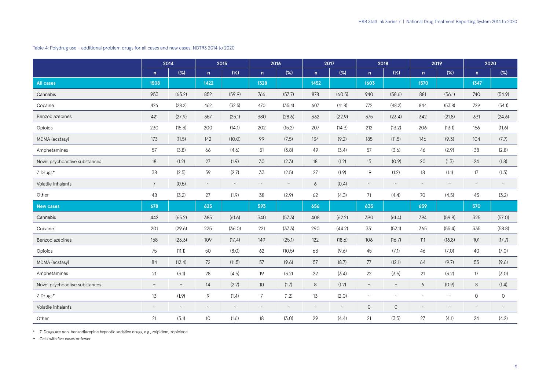Table 4: Polydrug use - additional problem drugs for all cases and new cases, NDTRS 2014 to 2020

**2014 2015 2016 2017 2018 2019 2020 n (%) n (%) n (%) n (%) n (%) n (%) n (%) All cases 1508 1422 1328 1452 1603 1570 1347** Cannabis 953 (63.2) 852 (59.9) 766 (57.7) 878 (60.5) 940 (58.6) 881 (56.1) 740 (54.9) Cocaine 426 (28.2) 462 (32.5) 470 (35.4) 607 (41.8) 772 (48.2) 844 (53.8) 729 (54.1) Benzodiazepines 421 (27.9) 357 (25.1) 380 (28.6) 332 (22.9) 375 (23.4) 342 (21.8) 331 (24.6) Opioids 230 (15.3) 200 (14.1) 202 (15.2) 207 (14.3) 212 (13.2) 206 (13.1) 156 (11.6) MDMA (ecstasy) 173 (11.5) 142 (10.0) 99 (7.5) 134 (9.2) 185 (11.5) 146 (9.3) 104 (7.7) Amphetamines 57 (3.8) 66 (4.6) 51 (3.8) 49 (3.4) 57 (3.6) 46 (2.9) 38 (2.8) Novel psychoactive substances 18 (1.2) 27 (1.9) 30 (2.3) 18 (1.2) 15 (0.9) Z Drugs\* 38 (2.5) 39 (2.7) 33 (2.5) 27 (1.9) 19 (1.2) 18 (1.1) 17 (1.3) Volatile inhalants 7 (0.5) ~ ~ ~ 6 (0.4) ~ ~ ~ ~ ~ ~ Other 48 (3.2) 27 (1.9) 38 (2.9) 62 (4.3) 71 (4.4) 70 (4.5) 43 (3.2) **New cases 678 625 593 656 635 659 570** Cannabis 442 (65.2) 385 (61.6) 340 (57.3) 408 (62.2) 390 (61.4) 394 (59.8) 325 (57.0) Cocaine 201 (29.6) 225 (36.0) 221 (37.3) 290 (44.2) 331 (52.1) 365 (55.4) 335 (58.8) Benzodiazepines 158 (23.3) 109 (17.4) 149 (25.1) 122 (18.6) 106 (16.7) 111 (16.8) 101 (17.7) Opioids 75 (11.1) 50 (8.0) 62 (10.5) 63 (9.6) 45 (7.1) 46 (7.0) 40 (7.0) MDMA (ecstasy) 84 (12.4) 72 (11.5) 57 (9.6) 57 (8.7) 77 (12.1) 64 (9.7) 55 (9.6) Amphetamines 21 (3.1) 28 (4.5) 19 (3.2) 22 (3.4) 22 (3.5) 21 (3.2) 17 (3.0) Novel psychoactive substances  $\sim$   $\sim$  14 (2.2) 10 (1.7) 8 (1.2)  $\sim$ Z Drugs\* 13 (1.9) 9 (1.4) 7 (1.2) 13 (2.0) ~ ~ ~ ~ 0 0 Volatile inhalants ~ ~ ~ ~ ~ ~ ~ ~ 0 0 ~ ~ ~ ~ Other 21 (3.1) 10 (1.6) 18 (3.0) 29 (4.4) 21 (3.3) 27 (4.1) 24 (4.2)

\* Z-Drugs are non-benzodiazepine hypnotic sedative drugs, e.g., zolpidem, zopiclone

~ Cells with five cases or fewer

|      | 2019   |               | 2020   |
|------|--------|---------------|--------|
| n    | $(\%)$ | n             | (%)    |
| 1570 |        | 1347          |        |
| 881  | (56.1) | 740           | (54.9) |
| 844  | (53.8) | 729           | (54.1) |
| 342  | (21.8) | 331           | (24.6) |
| 206  | (13.1) | 156           | (11.6) |
| 146  | (9.3)  | 104           | (7.7)  |
| 46   | (2.9)  | 38            | (2.8)  |
| 20   | (1.3)  | 24            | (1.8)  |
| 18   | (1.1)  | 17            | (1.3)  |
|      |        |               |        |
| 70   | (4.5)  | 43            | (3.2)  |
| 659  |        | 570           |        |
| 394  | (59.8) | 325           | (57.0) |
| 365  | (55.4) | 335           | (58.8) |
| 111  | (16.8) | 101           | (17.7) |
| 46   | (7.0)  | 40            | (7.0)  |
| 64   | (9.7)  | 55            | (9.6)  |
| 21   | (3.2)  | 17            | (3.0)  |
| 6    | (0.9)  | 8             | (1.4)  |
|      |        | $\mathcal{O}$ | 0      |
|      |        |               |        |
| 27   | (4.1)  | 24            | (4.2)  |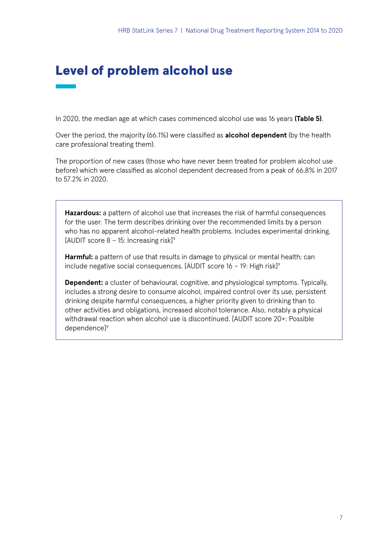### Level of problem alcohol use

In 2020, the median age at which cases commenced alcohol use was 16 years **(Table 5)**.

Over the period, the majority (66.1%) were classified as **alcohol dependent** (by the health care professional treating them).

The proportion of new cases (those who have never been treated for problem alcohol use before) which were classified as alcohol dependent decreased from a peak of 66.8% in 2017 to 57.2% in 2020.

**Hazardous:** a pattern of alcohol use that increases the risk of harmful consequences for the user. The term describes drinking over the recommended limits by a person who has no apparent alcohol-related health problems. Includes experimental drinking. [AUDIT score  $8 - 15$ : Increasing risk]<sup>9</sup>

**Harmful:** a pattern of use that results in damage to physical or mental health; can include negative social consequences. [AUDIT score  $16 - 19$ : High risk]<sup>9</sup>

**Dependent:** a cluster of behavioural, cognitive, and physiological symptoms. Typically, includes a strong desire to consume alcohol, impaired control over its use, persistent drinking despite harmful consequences, a higher priority given to drinking than to other activities and obligations, increased alcohol tolerance. Also, notably a physical withdrawal reaction when alcohol use is discontinued. [AUDIT score 20+: Possible dependence]9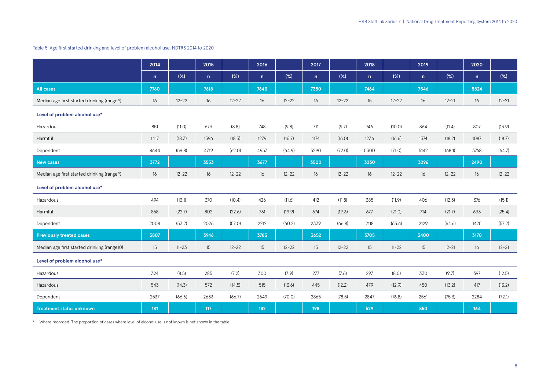|                                                          | 2014 |           | 2015 |           | 2016         |           | 2017 |           | 2018             |           | 2019         |           | 2020 |           |
|----------------------------------------------------------|------|-----------|------|-----------|--------------|-----------|------|-----------|------------------|-----------|--------------|-----------|------|-----------|
|                                                          | n    | (% )      | n    | (%)       | $\mathsf{n}$ | (%)       | n    | (% )      | n                | $(\%)$    | $\mathsf{n}$ | (%)       | n    | (%)       |
| <b>All cases</b>                                         | 7760 |           | 7618 |           | 7643         |           | 7350 |           | 7464             |           | 7546         |           | 5824 |           |
| Median age first started drinking (range <sup>10</sup> ) | 16   | $12 - 22$ | 16   | $12 - 22$ | 16           | $12 - 22$ | 16   | $12 - 22$ | 15 <sup>15</sup> | $12 - 22$ | 16           | $12 - 21$ | 16   | $12 - 21$ |
| Level of problem alcohol use*                            |      |           |      |           |              |           |      |           |                  |           |              |           |      |           |
| Hazardous                                                | 851  | (11.0)    | 673  | (8.8)     | 748          | (9.8)     | 711  | (9.7)     | 746              | (10.0)    | 864          | (11.4)    | 807  | (13.9)    |
| Harmful                                                  | 1417 | (18.3)    | 1396 | (18.3)    | 1279         | (16.7)    | 1174 | (16.0)    | 1236             | (16.6)    | 1374         | (18.2)    | 1087 | (18.7)    |
| Dependent                                                | 4644 | (59.8)    | 4719 | (62.0)    | 4957         | (64.9)    | 5290 | (72.0)    | 5300             | (71.0)    | 5142         | (68.1)    | 3768 | (64.7)    |
| <b>New cases</b>                                         | 3772 |           | 3553 |           | 3677         |           | 3500 |           | 3230             |           | 3296         |           | 2490 |           |
| Median age first started drinking (range <sup>10</sup> ) | 16   | $12 - 22$ | 16   | $12 - 22$ | 16           | $12 - 22$ | 16   | $12 - 22$ | 16               | $12 - 22$ | 16           | $12 - 22$ | 16   | $12 - 22$ |
| Level of problem alcohol use*                            |      |           |      |           |              |           |      |           |                  |           |              |           |      |           |
| Hazardous                                                | 494  | (13.1)    | 370  | (10.4)    | 426          | (11.6)    | 412  | (11.8)    | 385              | (11.9)    | 406          | (12.3)    | 376  | (15.1)    |
| Harmful                                                  | 858  | (22.7)    | 802  | (22.6)    | 731          | (19.9)    | 674  | (19.3)    | 677              | (21.0)    | 714          | (21.7)    | 633  | (25.4)    |
| Dependent                                                | 2008 | (53.2)    | 2026 | (57.0)    | 2212         | (60.2)    | 2339 | (66.8)    | 2118             | (65.6)    | 2129         | (64.6)    | 1425 | (57.2)    |
| <b>Previously treated cases</b>                          | 3807 |           | 3946 |           | 3783         |           | 3652 |           | 3705             |           | 3400         |           | 3170 |           |
| Median age first started drinking (range10)              | 15   | $11 - 23$ | 15   | $12 - 22$ | 15           | $12 - 22$ | 15   | $12 - 22$ | 15 <sup>15</sup> | $11 - 22$ | 15           | $12 - 21$ | 16   | $12 - 21$ |
| Level of problem alcohol use*                            |      |           |      |           |              |           |      |           |                  |           |              |           |      |           |
| Hazardous                                                | 324  | (8.5)     | 285  | (7.2)     | 300          | (7.9)     | 277  | (7.6)     | 297              | (8.0)     | 330          | (9.7)     | 397  | (12.5)    |
| Hazardous                                                | 543  | (14.3)    | 572  | (14.5)    | 515          | (13.6)    | 445  | (12.2)    | 479              | (12.9)    | 450          | (13.2)    | 417  | (13.2)    |
| Dependent                                                | 2537 | (66.6)    | 2633 | (66.7)    | 2649         | (70.0)    | 2865 | (78.5)    | 2847             | (76.8)    | 2561         | (75.3)    | 2284 | (72.1)    |
| <b>Treatment status unknown</b>                          | 181  |           | 117  |           | 182          |           | 198  |           | 529              |           | 850          |           | 164  |           |

\* Where recorded. The proportion of cases where level of alcohol use is not known is not shown in the table.

#### HRB StatLink Series 7 | National Drug Treatment Reporting System 2014 to 2020

#### Table 5: Age first started drinking and level of problem alcohol use, NDTRS 2014 to 2020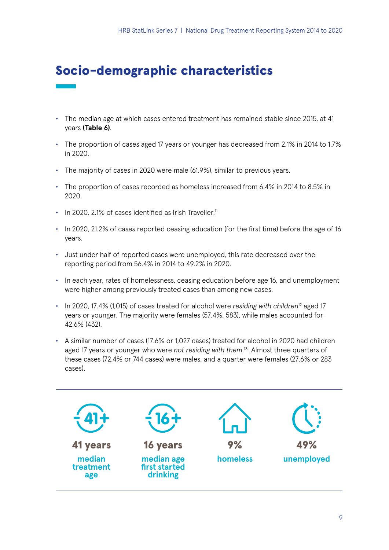# Socio-demographic characteristics

- The median age at which cases entered treatment has remained stable since 2015, at 41 years **(Table 6)**.
- The proportion of cases aged 17 years or younger has decreased from 2.1% in 2014 to 1.7% in 2020.
- The majority of cases in 2020 were male (61.9%), similar to previous years.
- The proportion of cases recorded as homeless increased from 6.4% in 2014 to 8.5% in 2020.
- In 2020, 2.1% of cases identified as Irish Traveller.<sup>11</sup>
- In 2020, 21.2% of cases reported ceasing education (for the first time) before the age of 16 years.
- Just under half of reported cases were unemployed, this rate decreased over the reporting period from 56.4% in 2014 to 49.2% in 2020.
- In each year, rates of homelessness, ceasing education before age 16, and unemployment were higher among previously treated cases than among new cases.
- In 2020, 17.4% (1,015) of cases treated for alcohol were *residing with children<sup>12</sup>* aged 17 years or younger. The majority were females (57.4%, 583), while males accounted for 42.6% (432).
- A similar number of cases (17.6% or 1,027 cases) treated for alcohol in 2020 had children aged 17 years or younger who were *not residing with them*. 13 Almost three quarters of these cases (72.4% or 744 cases) were males, and a quarter were females (27.6% or 283 cases).

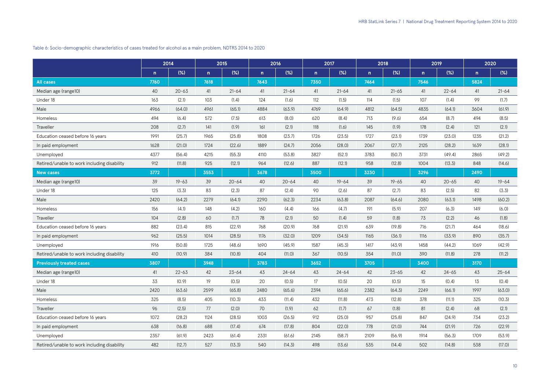#### Table 6: Socio-demographic characteristics of cases treated for alcohol as a main problem, NDTRS 2014 to 2020

|                                             | 2014 |           |              | 2015      |      | 2016      |      | 2017      |      | 2018      | 2019 |           | 2020         |           |
|---------------------------------------------|------|-----------|--------------|-----------|------|-----------|------|-----------|------|-----------|------|-----------|--------------|-----------|
|                                             | n    | $(\%)$    | $\mathsf{n}$ | (%)       | n.   | (%)       | n    | (%)       | n    | $(\%)$    | n    | (%)       | $\mathsf{n}$ | (%)       |
| <b>All cases</b>                            | 7760 |           | 7618         |           | 7643 |           | 7350 |           | 7464 |           | 7546 |           | 5824         |           |
| Median age (range10)                        | 40   | $20 - 63$ | 41           | $21 - 64$ | 41   | $21 - 64$ | 41   | $21 - 64$ | 41   | $21 - 65$ | 41   | $22 - 64$ | 41           | $21 - 64$ |
| Under 18                                    | 163  | (2.1)     | 103          | (1.4)     | 124  | (1.6)     | 112  | (1.5)     | 114  | (1.5)     | 107  | (1.4)     | 99           | (1.7)     |
| Male                                        | 4966 | (64.0)    | 4961         | (65.1)    | 4884 | (63.9)    | 4769 | (64.9)    | 4812 | (64.5)    | 4835 | (64.1)    | 3604         | (61.9)    |
| Homeless                                    | 494  | (6.4)     | 572          | (7.5)     | 613  | (8.0)     | 620  | (8.4)     | 713  | (9.6)     | 654  | (8.7)     | 494          | (8.5)     |
| Traveller                                   | 208  | (2.7)     | 141          | (1.9)     | 161  | (2.1)     | 118  | (1.6)     | 145  | (1.9)     | 178  | (2.4)     | 121          | (2.1)     |
| Education ceased before 16 years            | 1991 | (25.7)    | 1965         | (25.8)    | 1808 | (23.7)    | 1726 | (23.5)    | 1727 | (23.1)    | 1739 | (23.0)    | 1235         | (21.2)    |
| In paid employment                          | 1628 | (21.0)    | 1724         | (22.6)    | 1889 | (24.7)    | 2056 | (28.0)    | 2067 | (27.7)    | 2125 | (28.2)    | 1639         | (28.1)    |
| Unemployed                                  | 4377 | (56.4)    | 4215         | (55.3)    | 4110 | (53.8)    | 3827 | (52.1)    | 3783 | (50.7)    | 3731 | (49.4)    | 2865         | (49.2)    |
| Retired/unable to work including disability | 912  | (11.8)    | 925          | (12.1)    | 964  | (12.6)    | 887  | (12.1)    | 958  | (12.8)    | 1004 | (13.3)    | 848          | (14.6)    |
| <b>New cases</b>                            | 3772 |           | 3553         |           | 3678 |           | 3500 |           | 3230 |           | 3296 |           | 2490         |           |
| Median age (range10)                        | 39   | $19 - 63$ | 39           | $20 - 64$ | 40   | $20 - 64$ | 40   | $19 - 64$ | 39   | $19 - 65$ | 40   | $20 - 65$ | 40           | $19 - 64$ |
| Under 18                                    | 125  | (3.3)     | 83           | (2.3)     | 87   | (2.4)     | 90   | (2.6)     | 87   | (2.7)     | 83   | (2.5)     | 82           | (3.3)     |
| Male                                        | 2420 | (64.2)    | 2279         | (64.1)    | 2290 | (62.3)    | 2234 | (63.8)    | 2087 | (64.6)    | 2080 | (63.1)    | 1498         | (60.2)    |
| Homeless                                    | 156  | (4.1)     | 148          | (4.2)     | 160  | (4.4)     | 166  | (4.7)     | 191  | (5.9)     | 207  | (6.3)     | 149          | (6.0)     |
| Traveller                                   | 104  | (2.8)     | 60           | (1.7)     | 78   | (2.1)     | 50   | (1.4)     | 59   | (1.8)     | 73   | (2.2)     | 46           | (1.8)     |
| Education ceased before 16 years            | 882  | (23.4)    | 815          | (22.9)    | 768  | (20.9)    | 768  | (21.9)    | 639  | (19.8)    | 716  | (21.7)    | 464          | (18.6)    |
| In paid employment                          | 962  | (25.5)    | 1014         | (28.5)    | 1176 | (32.0)    | 1209 | (34.5)    | 1165 | (36.1)    | 1116 | (33.9)    | 890          | (35.7)    |
| Unemployed                                  | 1916 | (50.8)    | 1725         | (48.6)    | 1690 | (45.9)    | 1587 | (45.3)    | 1417 | (43.9)    | 1458 | (44.2)    | 1069         | (42.9)    |
| Retired/unable to work including disability | 410  | (10.9)    | 384          | (10.8)    | 404  | (11.0)    | 367  | (10.5)    | 354  | (11.0)    | 390  | (11.8)    | 278          | (11.2)    |
| <b>Previously treated cases</b>             | 3807 |           | 3948         |           | 3783 |           | 3652 |           | 3705 |           | 3400 |           | 3170         |           |
| Median age (range10)                        | 41   | $22 - 63$ | 42           | $23 - 64$ | 43   | $24 - 64$ | 43   | $24 - 64$ | 42   | $23 - 65$ | 42   | $24 - 65$ | 43           | $25 - 64$ |
| Under 18                                    | 33   | (0.9)     | 19           | (0.5)     | 20   | (0.5)     | 17   | (0.5)     | 20   | (0.5)     | 15   | (0.4)     | 13           | (0.4)     |
| Male                                        | 2420 | (63.6)    | 2599         | (65.8)    | 2480 | (65.6)    | 2394 | (65.6)    | 2382 | (64.3)    | 2249 | (66.1)    | 1997         | (63.0)    |
| Homeless                                    | 325  | (8.5)     | 405          | (10.3)    | 433  | (11.4)    | 432  | (11.8)    | 473  | (12.8)    | 378  | (11.1)    | 325          | (10.3)    |
| Traveller                                   | 96   | (2.5)     | 77           | (2.0)     | 70   | (1.9)     | 62   | (1.7)     | 67   | (1.8)     | 81   | (2.4)     | 68           | (2.1)     |
| Education ceased before 16 years            | 1072 | (28.2)    | 1124         | (28.5)    | 1003 | (26.5)    | 912  | (25.0)    | 957  | (25.8)    | 847  | (24.9)    | 734          | (23.2)    |
| In paid employment                          | 638  | (16.8)    | 688          | (17.4)    | 674  | (17.8)    | 804  | (22.0)    | 778  | (21.0)    | 744  | (21.9)    | 726          | (22.9)    |
| Unemployed                                  | 2357 | (61.9)    | 2423         | (61.4)    | 2331 | (61.6)    | 2145 | (58.7)    | 2109 | (56.9)    | 1914 | (56.3)    | 1709         | (53.9)    |
| Retired/unable to work including disability | 482  | (12.7)    | 527          | (13.3)    | 540  | (14.3)    | 498  | (13.6)    | 535  | (14.4)    | 502  | (14.8)    | 538          | (17.0)    |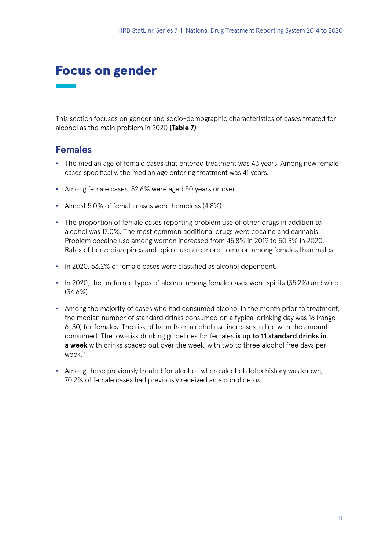### Focus on gender

This section focuses on gender and socio-demographic characteristics of cases treated for alcohol as the main problem in 2020 **(Table 7)**.

### **Females**

- **•** The median age of female cases that entered treatment was 43 years. Among new female cases specifically, the median age entering treatment was 41 years.
- **•** Among female cases, 32.6% were aged 50 years or over.
- **•** Almost 5.0% of female cases were homeless (4.8%).
- **•** The proportion of female cases reporting problem use of other drugs in addition to alcohol was 17.0%. The most common additional drugs were cocaine and cannabis. Problem cocaine use among women increased from 45.8% in 2019 to 50.3% in 2020. Rates of benzodiazepines and opioid use are more common among females than males.
- **•** In 2020, 63.2% of female cases were classified as alcohol dependent.
- **•** In 2020, the preferred types of alcohol among female cases were spirits (35.2%) and wine (34.6%).
- **•** Among the majority of cases who had consumed alcohol in the month prior to treatment, the median number of standard drinks consumed on a typical drinking day was 16 (range 6-30) for females. The risk of harm from alcohol use increases in line with the amount consumed. The low-risk drinking guidelines for females **is up to 11 standard drinks in a week** with drinks spaced out over the week, with two to three alcohol free days per week.14
- **•** Among those previously treated for alcohol, where alcohol detox history was known, 70.2% of female cases had previously received an alcohol detox.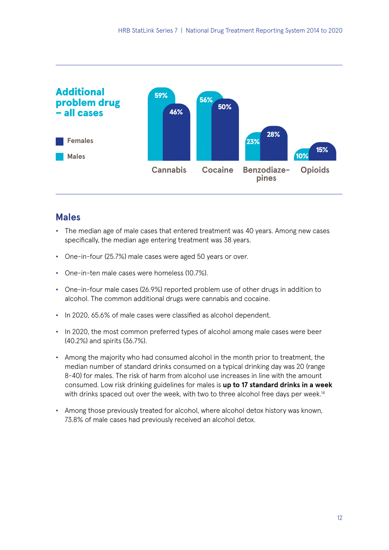

### **Males**

- **•** The median age of male cases that entered treatment was 40 years. Among new cases specifically, the median age entering treatment was 38 years.
- **•** One-in-four (25.7%) male cases were aged 50 years or over.
- **•** One-in-ten male cases were homeless (10.7%).
- **•** One-in-four male cases (26.9%) reported problem use of other drugs in addition to alcohol. The common additional drugs were cannabis and cocaine.
- **•** In 2020, 65.6% of male cases were classified as alcohol dependent.
- **•** In 2020, the most common preferred types of alcohol among male cases were beer (40.2%) and spirits (36.7%).
- **•** Among the majority who had consumed alcohol in the month prior to treatment, the median number of standard drinks consumed on a typical drinking day was 20 (range 8-40) for males. The risk of harm from alcohol use increases in line with the amount consumed. Low risk drinking guidelines for males is **up to 17 standard drinks in a week** with drinks spaced out over the week, with two to three alcohol free days per week.<sup>14</sup>
- **•** Among those previously treated for alcohol, where alcohol detox history was known, 73.8% of male cases had previously received an alcohol detox.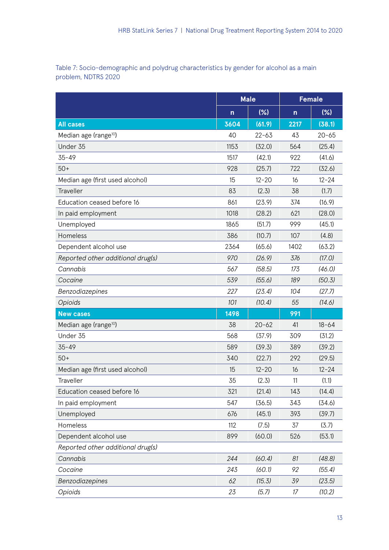Table 7: Socio-demographic and polydrug characteristics by gender for alcohol as a main problem, NDTRS 2020

|                                   |              | <b>Male</b> | <b>Female</b> |           |  |
|-----------------------------------|--------------|-------------|---------------|-----------|--|
|                                   | $\mathsf{n}$ | $(\%)$      | n             | (%)       |  |
| <b>All cases</b>                  | 3604         | (61.9)      | 2217          | (38.1)    |  |
| Median age (range <sup>10</sup> ) | 40           | $22 - 63$   | 43            | $20 - 65$ |  |
| Under 35                          | 1153         | (32.0)      | 564           | (25.4)    |  |
| $35 - 49$                         | 1517         | (42.1)      | 922           | (41.6)    |  |
| $50+$                             | 928          | (25.7)      | 722           | (32.6)    |  |
| Median age (first used alcohol)   | 15           | $12 - 20$   | 16            | $12 - 24$ |  |
| Traveller                         | 83           | (2.3)       | 38            | (1.7)     |  |
| Education ceased before 16        | 861          | (23.9)      | 374           | (16.9)    |  |
| In paid employment                | 1018         | (28.2)      | 621           | (28.0)    |  |
| Unemployed                        | 1865         | (51.7)      | 999           | (45.1)    |  |
| Homeless                          | 386          | (10.7)      | 107           | (4.8)     |  |
| Dependent alcohol use             | 2364         | (65.6)      | 1402          | (63.2)    |  |
| Reported other additional drug(s) | 970          | (26.9)      | 376           | (17.0)    |  |
| Cannabis                          | 567          | (58.5)      | 173           | (46.0)    |  |
| Cocaine                           | 539          | (55.6)      | 189           | (50.3)    |  |
| Benzodiazepines                   | 227          | (23.4)      | 104           | (27.7)    |  |
| Opioids                           | 101          | (10.4)      | 55            | (14.6)    |  |
| <b>New cases</b>                  | 1498         |             | 991           |           |  |
| Median age (range <sup>10</sup> ) | 38           | $20 - 62$   | 41            | $18 - 64$ |  |
| Under 35                          | 568          | (37.9)      | 309           | (31.2)    |  |
| $35 - 49$                         | 589          | (39.3)      | 389           | (39.2)    |  |
| $50+$                             | 340          | (22.7)      | 292           | (29.5)    |  |
| Median age (first used alcohol)   | 15           | $12 - 20$   | 16            | $12 - 24$ |  |
| Traveller                         | 35           | (2.3)       | 11            | (1.1)     |  |
| Education ceased before 16        | 321          | (21.4)      | 143           | (14.4)    |  |
| In paid employment                | 547          | (36.5)      | 343           | (34.6)    |  |
| Unemployed                        | 676          | (45.1)      | 393           | (39.7)    |  |
| Homeless                          | 112          | (7.5)       | 37            | (3.7)     |  |
| Dependent alcohol use             | 899          | (60.0)      | 526           | (53.1)    |  |
| Reported other additional drug(s) |              |             |               |           |  |
| Cannabis                          | 244          | (60.4)      | 81            | (48.8)    |  |
| Cocaine                           | 243          | (60.1)      | 92            | (55.4)    |  |
| Benzodiazepines                   | 62           | (15.3)      | 39            | (23.5)    |  |
| Opioids                           | 23           | (5.7)       | 17            | (10.2)    |  |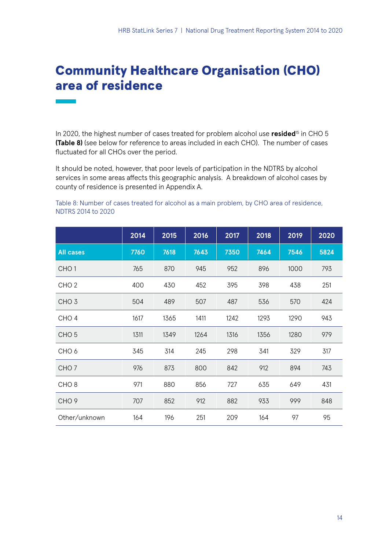## Community Healthcare Organisation (CHO) area of residence

In 2020, the highest number of cases treated for problem alcohol use **resided<sup>15</sup>** in CHO 5 **(Table 8)** (see below for reference to areas included in each CHO). The number of cases fluctuated for all CHOs over the period.

It should be noted, however, that poor levels of participation in the NDTRS by alcohol services in some areas affects this geographic analysis. A breakdown of alcohol cases by county of residence is presented in Appendix A.

Table 8: Number of cases treated for alcohol as a main problem, by CHO area of residence, NDTRS 2014 to 2020

|                  | 2014 | 2015 | 2016 | 2017 | 2018 | 2019 | 2020 |
|------------------|------|------|------|------|------|------|------|
| <b>All cases</b> | 7760 | 7618 | 7643 | 7350 | 7464 | 7546 | 5824 |
| CHO <sub>1</sub> | 765  | 870  | 945  | 952  | 896  | 1000 | 793  |
| CHO <sub>2</sub> | 400  | 430  | 452  | 395  | 398  | 438  | 251  |
| CHO <sub>3</sub> | 504  | 489  | 507  | 487  | 536  | 570  | 424  |
| CHO <sub>4</sub> | 1617 | 1365 | 1411 | 1242 | 1293 | 1290 | 943  |
| CHO <sub>5</sub> | 1311 | 1349 | 1264 | 1316 | 1356 | 1280 | 979  |
| CHO <sub>6</sub> | 345  | 314  | 245  | 298  | 341  | 329  | 317  |
| CHO <sub>7</sub> | 976  | 873  | 800  | 842  | 912  | 894  | 743  |
| CHO <sub>8</sub> | 971  | 880  | 856  | 727  | 635  | 649  | 431  |
| CHO <sub>9</sub> | 707  | 852  | 912  | 882  | 933  | 999  | 848  |
| Other/unknown    | 164  | 196  | 251  | 209  | 164  | 97   | 95   |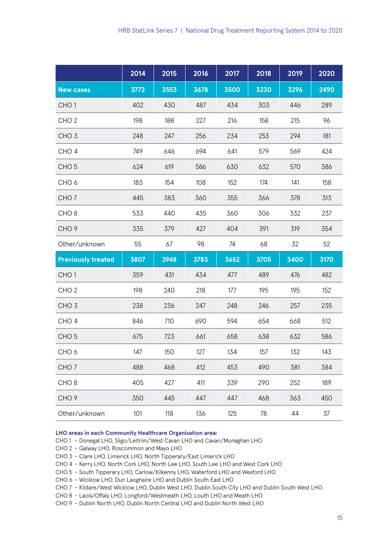|                           | 2014 | 2015 | 2016 | 2017 | 2018 | 2019 | 2020 |
|---------------------------|------|------|------|------|------|------|------|
| <b>New cases</b>          | 3772 | 3553 | 3678 | 3500 | 3230 | 3296 | 2490 |
| CHO <sub>1</sub>          | 402  | 430  | 487  | 434  | 303  | 446  | 289  |
| CHO <sub>2</sub>          | 198  | 188  | 227  | 216  | 158  | 215  | 96   |
| CHO <sub>3</sub>          | 248  | 247  | 256  | 234  | 253  | 294  | 181  |
| CHO <sub>4</sub>          | 749  | 646  | 694  | 641  | 579  | 569  | 424  |
| CHO <sub>5</sub>          | 624  | 619  | 586  | 630  | 632  | 570  | 386  |
| CHO <sub>6</sub>          | 183  | 154  | 108  | 152  | 174  | 141  | 158  |
| CHO <sub>7</sub>          | 445  | 383  | 360  | 355  | 366  | 378  | 313  |
| CHO <sub>8</sub>          | 533  | 440  | 435  | 360  | 306  | 332  | 237  |
| CHO <sub>9</sub>          | 335  | 379  | 427  | 404  | 391  | 319  | 354  |
| Other/unknown             | 55   | 67   | 98   | 74   | 68   | 32   | 52   |
| <b>Previously treated</b> | 3807 | 3948 | 3783 | 3652 | 3705 | 3400 | 3170 |
| CHO <sub>1</sub>          | 359  | 431  | 434  | 477  | 489  | 476  | 482  |
| CHO <sub>2</sub>          | 198  | 240  | 218  | 177  | 195  | 195  | 152  |
| CHO <sub>3</sub>          | 238  | 236  | 247  | 248  | 246  | 257  | 235  |
| CHO <sub>4</sub>          | 846  | 710  | 690  | 594  | 654  | 668  | 512  |
| CHO <sub>5</sub>          | 675  | 723  | 661  | 658  | 638  | 632  | 586  |
| CHO <sub>6</sub>          | 147  | 150  | 127  | 134  | 157  | 132  | 143  |
| CHO <sub>7</sub>          | 488  | 468  | 412  | 453  | 490  | 381  | 384  |
| CHO <sub>8</sub>          | 405  | 427  | 411  | 339  | 290  | 252  | 189  |
| CHO <sub>9</sub>          | 350  | 445  | 447  | 447  | 468  | 363  | 450  |
| Other/unknown             | 101  | 118  | 136  | 125  | 78   | 44   | 37   |

#### **LHO areas in each Community Healthcare Organisation area:**

- CHO 1 Donegal LHO, Sligo/Leitrim/West Cavan LHO and Cavan/Monaghan LHO
- CHO 2 Galway LHO, Roscommon and Mayo LHO
- CHO 3 Clare LHO, Limerick LHO, North Tipperary/East Limerick LHO
- CHO 4 Kerry LHO, North Cork LHO, North Lee LHO, South Lee LHO and West Cork LHO
- CHO 5 South Tipperary LHO, Carlow/Kilkenny LHO, Waterford LHO and Wexford LHO
- CHO 6 Wicklow LHO, Dun Laoghaire LHO and Dublin South East LHO
- CHO 7 Kildare/West Wicklow LHO, Dublin West LHO, Dublin South City LHO and Dublin South West LHO
- CHO 8 Laois/Offaly LHO, Longford/Westmeath LHO, Louth LHO and Meath LHO
- CHO 9 Dublin North LHO, Dublin North Central LHO and Dublin North West LHO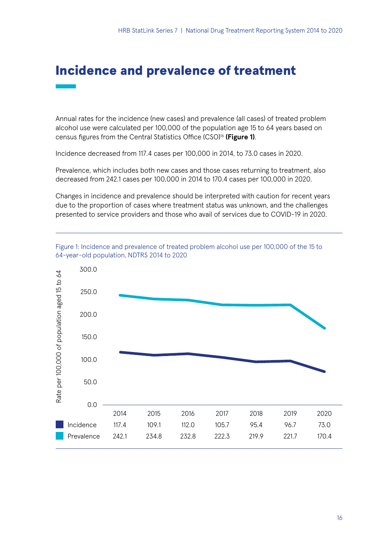### Incidence and prevalence of treatment

Annual rates for the incidence (new cases) and prevalence (all cases) of treated problem alcohol use were calculated per 100,000 of the population age 15 to 64 years based on census figures from the Central Statistics Office (CSO)<sup>16</sup> (Figure 1).

Incidence decreased from 117.4 cases per 100,000 in 2014, to 73.0 cases in 2020.

Prevalence, which includes both new cases and those cases returning to treatment, also decreased from 242.1 cases per 100,000 in 2014 to 170.4 cases per 100,000 in 2020.

Changes in incidence and prevalence should be interpreted with caution for recent years due to the proportion of cases where treatment status was unknown, and the challenges presented to service providers and those who avail of services due to COVID-19 in 2020.



Figure 1: Incidence and prevalence of treated problem alcohol use per 100,000 of the 15 to 64-year-old population, NDTRS 2014 to 2020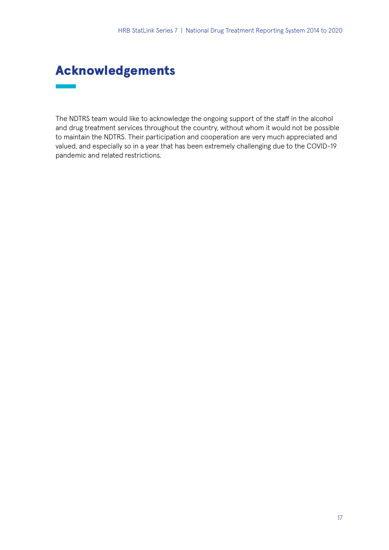## Acknowledgements

The NDTRS team would like to acknowledge the ongoing support of the staff in the alcohol and drug treatment services throughout the country, without whom it would not be possible to maintain the NDTRS. Their participation and cooperation are very much appreciated and valued, and especially so in a year that has been extremely challenging due to the COVID-19 pandemic and related restrictions.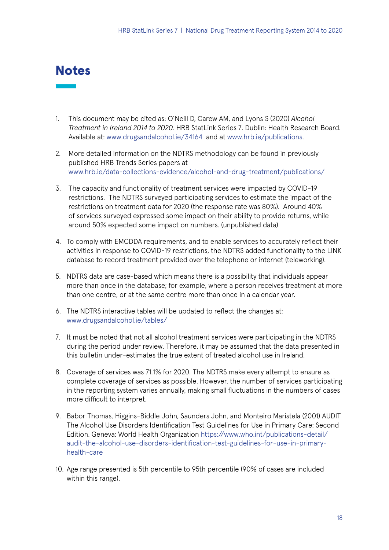### **Notes**

- 1. This document may be cited as: O'Neill D, Carew AM, and Lyons S (2020) *Alcohol Treatment in Ireland 2014 to 2020.* HRB StatLink Series 7. Dublin: Health Research Board. Available at: [www.drugsandalcohol.ie/34164](http://www.drugsandalcohol.ie/34164) and at [www.hrb.ie/publications.](http://www.hrb.ie/publications)
- 2. More detailed information on the NDTRS methodology can be found in previously published HRB Trends Series papers at [www.hrb.ie/data-collections-evidence/alcohol-and-drug-treatment/publications/](http://www.hrb.ie/data-collections-evidence/alcohol-and-drug-treatment/publications/)
- 3. The capacity and functionality of treatment services were impacted by COVID-19 restrictions. The NDTRS surveyed participating services to estimate the impact of the restrictions on treatment data for 2020 (the response rate was 80%). Around 40% of services surveyed expressed some impact on their ability to provide returns, while around 50% expected some impact on numbers. (unpublished data)
- 4. To comply with EMCDDA requirements, and to enable services to accurately reflect their activities in response to COVID-19 restrictions, the NDTRS added functionality to the LINK database to record treatment provided over the telephone or internet (teleworking).
- 5. NDTRS data are case-based which means there is a possibility that individuals appear more than once in the database; for example, where a person receives treatment at more than one centre, or at the same centre more than once in a calendar year.
- 6. The NDTRS interactive tables will be updated to reflect the changes at: [www.drugsandalcohol.ie/tables/](http://www.drugsandalcohol.ie/tables/)
- 7. It must be noted that not all alcohol treatment services were participating in the NDTRS during the period under review. Therefore, it may be assumed that the data presented in this bulletin under-estimates the true extent of treated alcohol use in Ireland.
- 8. Coverage of services was 71.1% for 2020. The NDTRS make every attempt to ensure as complete coverage of services as possible. However, the number of services participating in the reporting system varies annually, making small fluctuations in the numbers of cases more difficult to interpret.
- 9. Babor Thomas, Higgins-Biddle John, Saunders John, and Monteiro Maristela (2001) AUDIT The Alcohol Use Disorders Identification Test Guidelines for Use in Primary Care: Second Edition. Geneva: World Health Organization [https://www.who.int/publications-detail/](https://www.who.int/publications-detail/audit-the-alcohol-use-disorders-identification-test-guidelines-for-use-in-primary-health-care) [audit-the-alcohol-use-disorders-identification-test-guidelines-for-use-in-primary](https://www.who.int/publications-detail/audit-the-alcohol-use-disorders-identification-test-guidelines-for-use-in-primary-health-care)[health-care](https://www.who.int/publications-detail/audit-the-alcohol-use-disorders-identification-test-guidelines-for-use-in-primary-health-care)
- 10. Age range presented is 5th percentile to 95th percentile (90% of cases are included within this range).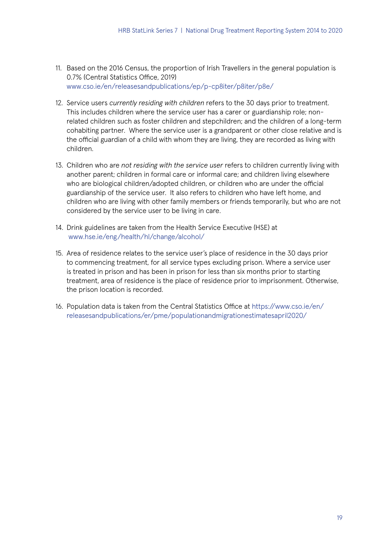- 11. Based on the 2016 Census, the proportion of Irish Travellers in the general population is 0.7% (Central Statistics Office, 2019) [www.cso.ie/en/releasesandpublications/ep/p-cp8iter/p8iter/p8e/](http://www.cso.ie/en/releasesandpublications/ep/p-cp8iter/p8iter/p8e/)
- 12. Service users *currently residing with children* refers to the 30 days prior to treatment. This includes children where the service user has a carer or guardianship role; nonrelated children such as foster children and stepchildren; and the children of a long-term cohabiting partner. Where the service user is a grandparent or other close relative and is the official guardian of a child with whom they are living, they are recorded as living with children.
- 13. Children who are *not residing with the service user* refers to children currently living with another parent; children in formal care or informal care; and children living elsewhere who are biological children/adopted children, or children who are under the official guardianship of the service user. It also refers to children who have left home, and children who are living with other family members or friends temporarily, but who are not considered by the service user to be living in care.
- 14. Drink guidelines are taken from the Health Service Executive (HSE) at [www.hse.ie/eng/health/hl/change/alcohol/](http://www.hse.ie/eng/health/hl/change/alcohol/)
- 15. Area of residence relates to the service user's place of residence in the 30 days prior to commencing treatment, for all service types excluding prison. Where a service user is treated in prison and has been in prison for less than six months prior to starting treatment, area of residence is the place of residence prior to imprisonment. Otherwise, the prison location is recorded.
- 16. Population data is taken from the Central Statistics Office at [https://www.cso.ie/en/](https://www.cso.ie/en/releasesandpublications/er/pme/populationandmigrationestimatesapril2020/) [releasesandpublications/er/pme/populationandmigrationestimatesapril2020/](https://www.cso.ie/en/releasesandpublications/er/pme/populationandmigrationestimatesapril2020/)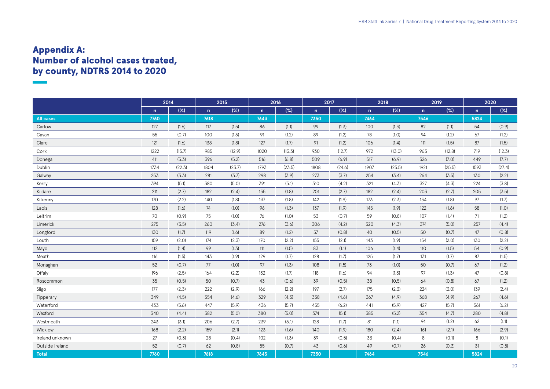## Appendix A: Number of alcohol cases treated, by county, NDTRS 2014 to 2020

|                  | 2014         |        |      | 2015   |              | 2016   |      | 2017   |              | 2018   |              | 2019   | 2020         |        |
|------------------|--------------|--------|------|--------|--------------|--------|------|--------|--------------|--------|--------------|--------|--------------|--------|
|                  | $\mathsf{n}$ | (%)    | n    | (%)    | $\mathsf{n}$ | (%)    | n    | (%)    | $\mathsf{n}$ | (%)    | $\mathsf{n}$ | (% )   | $\mathsf{n}$ | (%)    |
| <b>All cases</b> | 7760         |        | 7618 |        | 7643         |        | 7350 |        | 7464         |        | 7546         |        | 5824         |        |
| Carlow           | 127          | (1.6)  | 117  | (1.5)  | 86           | (1.1)  | 99   | (1.3)  | 100          | (1.3)  | 82           | (1.1)  | 54           | (0.9)  |
| Cavan            | 55           | (0.7)  | 100  | (1.3)  | 91           | (1.2)  | 89   | (1.2)  | 78           | (1.0)  | 94           | (1.2)  | 67           | (1.2)  |
| Clare            | 121          | (1.6)  | 138  | (1.8)  | 127          | (1.7)  | 91   | (1.2)  | 106          | (1.4)  | 111          | (1.5)  | 87           | (1.5)  |
| Cork             | 1222         | (15.7) | 985  | (12.9) | 1020         | (13.3) | 930  | (12.7) | 972          | (13.0) | 963          | (12.8) | 719          | (12.3) |
| Donegal          | 411          | (5.3)  | 396  | (5.2)  | 516          | (6.8)  | 509  | (6.9)  | 517          | (6.9)  | 526          | (7.0)  | 449          | (7.7)  |
| Dublin           | 1734         | (22.3) | 1804 | (23.7) | 1793         | (23.5) | 1808 | (24.6) | 1907         | (25.5) | 1921         | (25.5) | 1593         | (27.4) |
| Galway           | 253          | (3.3)  | 281  | (3.7)  | 298          | (3.9)  | 273  | (3.7)  | 254          | (3.4)  | 264          | (3.5)  | 130          | (2.2)  |
| Kerry            | 394          | (5.1)  | 380  | (5.0)  | 391          | (5.1)  | 310  | (4.2)  | 321          | (4.3)  | 327          | (4.3)  | 224          | (3.8)  |
| Kildare          | 211          | (2.7)  | 182  | (2.4)  | 135          | (1.8)  | 201  | (2.7)  | 182          | (2.4)  | 203          | (2.7)  | 205          | (3.5)  |
| Kilkenny         | 170          | (2.2)  | 140  | (1.8)  | 137          | (1.8)  | 142  | (1.9)  | 173          | (2.3)  | 134          | (1.8)  | 97           | (1.7)  |
| Laois            | 128          | (1.6)  | 74   | (1.0)  | 96           | (1.3)  | 137  | (1.9)  | 145          | (1.9)  | 122          | (1.6)  | 58           | (1.0)  |
| Leitrim          | 70           | (0.9)  | 75   | (1.0)  | 76           | (1.0)  | 53   | (0.7)  | 59           | (0.8)  | 107          | (1.4)  | 71           | (1.2)  |
| Limerick         | 275          | (3.5)  | 260  | (3.4)  | 276          | (3.6)  | 306  | (4.2)  | 320          | (4.3)  | 374          | (5.0)  | 257          | (4.4)  |
| Longford         | 130          | (1.7)  | 119  | (1.6)  | 89           | (1.2)  | 57   | (0.8)  | 40           | (0.5)  | 50           | (0.7)  | 47           | (0.8)  |
| Louth            | 159          | (2.0)  | 174  | (2.3)  | 170          | (2.2)  | 155  | (2.1)  | 143          | (1.9)  | 154          | (2.0)  | 130          | (2.2)  |
| Mayo             | 112          | (1.4)  | 99   | (1.3)  | 111          | (1.5)  | 83   | (1.1)  | 106          | (1.4)  | 110          | (1.5)  | 54           | (0.9)  |
| Meath            | 116          | (1.5)  | 143  | (1.9)  | 129          | (1.7)  | 128  | (1.7)  | 125          | (1.7)  | 131          | (1.7)  | 87           | (1.5)  |
| Monaghan         | 52           | (0.7)  | 77   | (1.0)  | 97           | (1.3)  | 108  | (1.5)  | 73           | (1.0)  | 50           | (0.7)  | 67           | (1.2)  |
| Offaly           | 196          | (2.5)  | 164  | (2.2)  | 132          | (1.7)  | 118  | (1.6)  | 94           | (1.3)  | 97           | (1.3)  | 47           | (0.8)  |
| Roscommon        | 35           | (0.5)  | 50   | (0.7)  | 43           | (0.6)  | 39   | (0.5)  | 38           | (0.5)  | 64           | (0.8)  | 67           | (1.2)  |
| Sligo            | 177          | (2.3)  | 222  | (2.9)  | 166          | (2.2)  | 197  | (2.7)  | 175          | (2.3)  | 224          | (3.0)  | 139          | (2.4)  |
| Tipperary        | 349          | (4.5)  | 354  | (4.6)  | 329          | (4.3)  | 338  | (4.6)  | 367          | (4.9)  | 368          | (4.9)  | 267          | (4.6)  |
| Waterford        | 433          | (5.6)  | 447  | (5.9)  | 436          | (5.7)  | 455  | (6.2)  | 441          | (5.9)  | 427          | (5.7)  | 361          | (6.2)  |
| Wexford          | 340          | (4.4)  | 382  | (5.0)  | 380          | (5.0)  | 374  | (5.1)  | 385          | (5.2)  | 354          | (4.7)  | 280          | (4.8)  |
| Westmeath        | 243          | (3.1)  | 206  | (2.7)  | 239          | (3.1)  | 128  | (1.7)  | 81           | (1.1)  | 94           | (1.2)  | 62           | (1.1)  |
| Wicklow          | 168          | (2.2)  | 159  | (2.1)  | 123          | (1.6)  | 140  | (1.9)  | 180          | (2.4)  | 161          | (2.1)  | 166          | (2.9)  |
| Ireland unknown  | 27           | (0.3)  | 28   | (0.4)  | 102          | (1.3)  | 39   | (0.5)  | 33           | (0.4)  | 8            | (0.1)  | 8            | (0.1)  |
| Outside Ireland  | 52           | (0.7)  | 62   | (0.8)  | 55           | (0.7)  | 43   | (0.6)  | 49           | (0.7)  | 26           | (0.3)  | 31           | (0.5)  |
| <b>Total</b>     | 7760         |        | 7618 |        | 7643         |        | 7350 |        | 7464         |        | 7546         |        | 5824         |        |